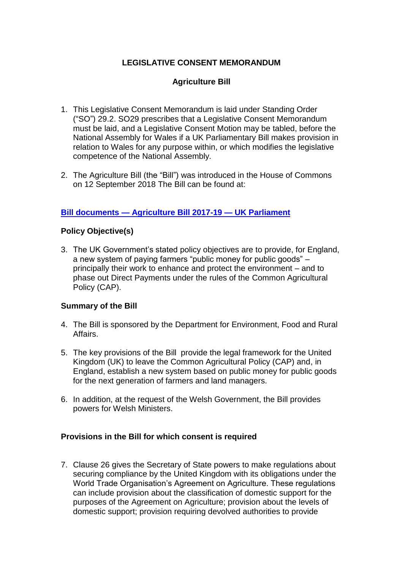# **LEGISLATIVE CONSENT MEMORANDUM**

# **Agriculture Bill**

- 1. This Legislative Consent Memorandum is laid under Standing Order ("SO") 29.2. SO29 prescribes that a Legislative Consent Memorandum must be laid, and a Legislative Consent Motion may be tabled, before the National Assembly for Wales if a UK Parliamentary Bill makes provision in relation to Wales for any purpose within, or which modifies the legislative competence of the National Assembly*.*
- 2. The Agriculture Bill (the "Bill") was introduced in the House of Commons on 12 September 2018 The Bill can be found at:

# **Bill documents — [Agriculture Bill 2017-19 —](https://services.parliament.uk/Bills/2017-19/agriculture/documents.html) UK Parliament**

# **Policy Objective(s)**

3. The UK Government's stated policy objectives are to provide, for England, a new system of paying farmers "public money for public goods" – principally their work to enhance and protect the environment – and to phase out Direct Payments under the rules of the Common Agricultural Policy (CAP).

### **Summary of the Bill**

- 4. The Bill is sponsored by the Department for Environment, Food and Rural Affairs.
- 5. The key provisions of the Bill provide the legal framework for the United Kingdom (UK) to leave the Common Agricultural Policy (CAP) and, in England, establish a new system based on public money for public goods for the next generation of farmers and land managers.
- 6. In addition, at the request of the Welsh Government, the Bill provides powers for Welsh Ministers.

### **Provisions in the Bill for which consent is required**

7. Clause 26 gives the Secretary of State powers to make regulations about securing compliance by the United Kingdom with its obligations under the World Trade Organisation's Agreement on Agriculture. These regulations can include provision about the classification of domestic support for the purposes of the Agreement on Agriculture; provision about the levels of domestic support; provision requiring devolved authorities to provide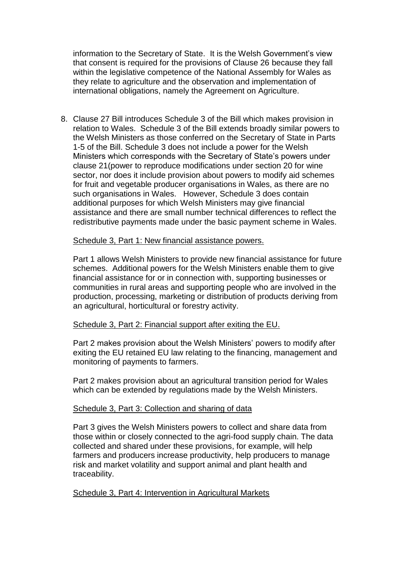information to the Secretary of State. It is the Welsh Government's view that consent is required for the provisions of Clause 26 because they fall within the legislative competence of the National Assembly for Wales as they relate to agriculture and the observation and implementation of international obligations, namely the Agreement on Agriculture.

8. Clause 27 Bill introduces Schedule 3 of the Bill which makes provision in relation to Wales. Schedule 3 of the Bill extends broadly similar powers to the Welsh Ministers as those conferred on the Secretary of State in Parts 1-5 of the Bill. Schedule 3 does not include a power for the Welsh Ministers which corresponds with the Secretary of State's powers under clause 21(power to reproduce modifications under section 20 for wine sector, nor does it include provision about powers to modify aid schemes for fruit and vegetable producer organisations in Wales, as there are no such organisations in Wales. However, Schedule 3 does contain additional purposes for which Welsh Ministers may give financial assistance and there are small number technical differences to reflect the redistributive payments made under the basic payment scheme in Wales.

#### Schedule 3, Part 1: New financial assistance powers.

Part 1 allows Welsh Ministers to provide new financial assistance for future schemes. Additional powers for the Welsh Ministers enable them to give financial assistance for or in connection with, supporting businesses or communities in rural areas and supporting people who are involved in the production, processing, marketing or distribution of products deriving from an agricultural, horticultural or forestry activity.

#### Schedule 3, Part 2: Financial support after exiting the EU.

Part 2 makes provision about the Welsh Ministers' powers to modify after exiting the EU retained EU law relating to the financing, management and monitoring of payments to farmers.

Part 2 makes provision about an agricultural transition period for Wales which can be extended by regulations made by the Welsh Ministers.

#### Schedule 3, Part 3: Collection and sharing of data

Part 3 gives the Welsh Ministers powers to collect and share data from those within or closely connected to the agri-food supply chain. The data collected and shared under these provisions, for example, will help farmers and producers increase productivity, help producers to manage risk and market volatility and support animal and plant health and traceability.

### Schedule 3, Part 4: Intervention in Agricultural Markets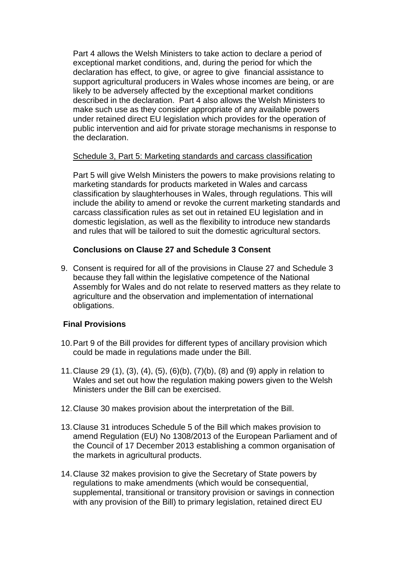Part 4 allows the Welsh Ministers to take action to declare a period of exceptional market conditions, and, during the period for which the declaration has effect, to give, or agree to give financial assistance to support agricultural producers in Wales whose incomes are being, or are likely to be adversely affected by the exceptional market conditions described in the declaration. Part 4 also allows the Welsh Ministers to make such use as they consider appropriate of any available powers under retained direct EU legislation which provides for the operation of public intervention and aid for private storage mechanisms in response to the declaration.

### Schedule 3, Part 5: Marketing standards and carcass classification

Part 5 will give Welsh Ministers the powers to make provisions relating to marketing standards for products marketed in Wales and carcass classification by slaughterhouses in Wales, through regulations. This will include the ability to amend or revoke the current marketing standards and carcass classification rules as set out in retained EU legislation and in domestic legislation, as well as the flexibility to introduce new standards and rules that will be tailored to suit the domestic agricultural sectors.

# **Conclusions on Clause 27 and Schedule 3 Consent**

9. Consent is required for all of the provisions in Clause 27 and Schedule 3 because they fall within the legislative competence of the National Assembly for Wales and do not relate to reserved matters as they relate to agriculture and the observation and implementation of international obligations.

### **Final Provisions**

- 10.Part 9 of the Bill provides for different types of ancillary provision which could be made in regulations made under the Bill.
- 11.Clause 29 (1), (3), (4), (5), (6)(b), (7)(b), (8) and (9) apply in relation to Wales and set out how the regulation making powers given to the Welsh Ministers under the Bill can be exercised.
- 12.Clause 30 makes provision about the interpretation of the Bill.
- 13.Clause 31 introduces Schedule 5 of the Bill which makes provision to amend Regulation (EU) No 1308/2013 of the European Parliament and of the Council of 17 December 2013 establishing a common organisation of the markets in agricultural products.
- 14.Clause 32 makes provision to give the Secretary of State powers by regulations to make amendments (which would be consequential, supplemental, transitional or transitory provision or savings in connection with any provision of the Bill) to primary legislation, retained direct EU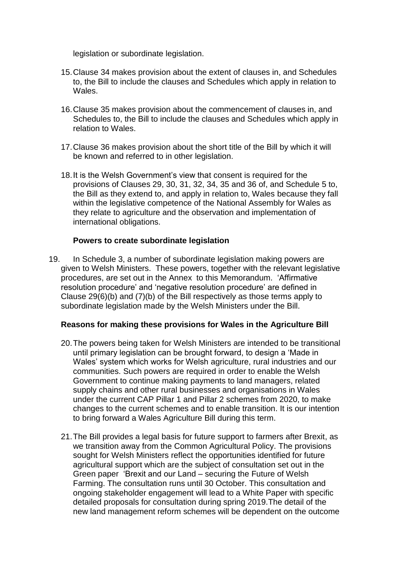legislation or subordinate legislation.

- 15.Clause 34 makes provision about the extent of clauses in, and Schedules to, the Bill to include the clauses and Schedules which apply in relation to Wales.
- 16.Clause 35 makes provision about the commencement of clauses in, and Schedules to, the Bill to include the clauses and Schedules which apply in relation to Wales.
- 17.Clause 36 makes provision about the short title of the Bill by which it will be known and referred to in other legislation.
- 18.It is the Welsh Government's view that consent is required for the provisions of Clauses 29, 30, 31, 32, 34, 35 and 36 of, and Schedule 5 to, the Bill as they extend to, and apply in relation to, Wales because they fall within the legislative competence of the National Assembly for Wales as they relate to agriculture and the observation and implementation of international obligations.

### **Powers to create subordinate legislation**

19. In Schedule 3, a number of subordinate legislation making powers are given to Welsh Ministers. These powers, together with the relevant legislative procedures, are set out in the Annex to this Memorandum. 'Affirmative resolution procedure' and 'negative resolution procedure' are defined in Clause 29(6)(b) and (7)(b) of the Bill respectively as those terms apply to subordinate legislation made by the Welsh Ministers under the Bill.

#### **Reasons for making these provisions for Wales in the Agriculture Bill**

- 20.The powers being taken for Welsh Ministers are intended to be transitional until primary legislation can be brought forward, to design a 'Made in Wales' system which works for Welsh agriculture, rural industries and our communities. Such powers are required in order to enable the Welsh Government to continue making payments to land managers, related supply chains and other rural businesses and organisations in Wales under the current CAP Pillar 1 and Pillar 2 schemes from 2020, to make changes to the current schemes and to enable transition. It is our intention to bring forward a Wales Agriculture Bill during this term.
- 21.The Bill provides a legal basis for future support to farmers after Brexit, as we transition away from the Common Agricultural Policy. The provisions sought for Welsh Ministers reflect the opportunities identified for future agricultural support which are the subject of consultation set out in the Green paper 'Brexit and our Land – securing the Future of Welsh Farming. The consultation runs until 30 October. This consultation and ongoing stakeholder engagement will lead to a White Paper with specific detailed proposals for consultation during spring 2019.The detail of the new land management reform schemes will be dependent on the outcome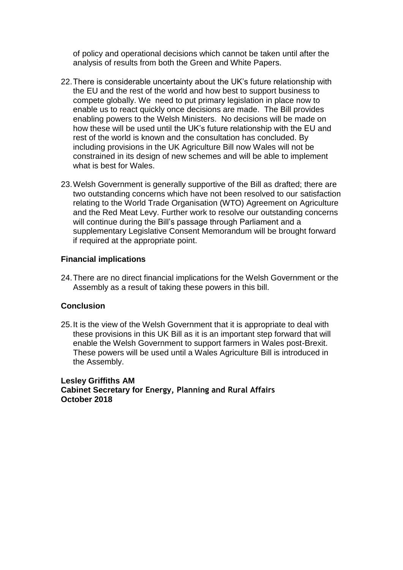of policy and operational decisions which cannot be taken until after the analysis of results from both the Green and White Papers.

- 22.There is considerable uncertainty about the UK's future relationship with the EU and the rest of the world and how best to support business to compete globally. We need to put primary legislation in place now to enable us to react quickly once decisions are made. The Bill provides enabling powers to the Welsh Ministers. No decisions will be made on how these will be used until the UK's future relationship with the EU and rest of the world is known and the consultation has concluded. By including provisions in the UK Agriculture Bill now Wales will not be constrained in its design of new schemes and will be able to implement what is best for Wales.
- 23.Welsh Government is generally supportive of the Bill as drafted; there are two outstanding concerns which have not been resolved to our satisfaction relating to the World Trade Organisation (WTO) Agreement on Agriculture and the Red Meat Levy. Further work to resolve our outstanding concerns will continue during the Bill's passage through Parliament and a supplementary Legislative Consent Memorandum will be brought forward if required at the appropriate point.

# **Financial implications**

24.There are no direct financial implications for the Welsh Government or the Assembly as a result of taking these powers in this bill.

### **Conclusion**

25.It is the view of the Welsh Government that it is appropriate to deal with these provisions in this UK Bill as it is an important step forward that will enable the Welsh Government to support farmers in Wales post-Brexit. These powers will be used until a Wales Agriculture Bill is introduced in the Assembly.

**Lesley Griffiths AM Cabinet Secretary for Energy, Planning and Rural Affairs October 2018**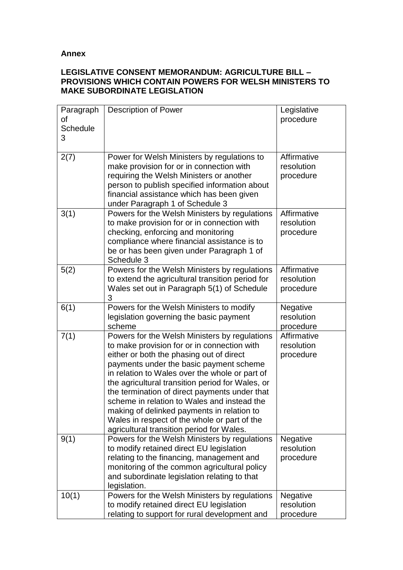### **Annex**

# **LEGISLATIVE CONSENT MEMORANDUM: AGRICULTURE BILL – PROVISIONS WHICH CONTAIN POWERS FOR WELSH MINISTERS TO MAKE SUBORDINATE LEGISLATION**

| Paragraph<br>οf<br><b>Schedule</b> | <b>Description of Power</b>                                                                                                                                                                                                                                                                                                                                                                                                                                                                                                          | Legislative<br>procedure               |
|------------------------------------|--------------------------------------------------------------------------------------------------------------------------------------------------------------------------------------------------------------------------------------------------------------------------------------------------------------------------------------------------------------------------------------------------------------------------------------------------------------------------------------------------------------------------------------|----------------------------------------|
| 3                                  |                                                                                                                                                                                                                                                                                                                                                                                                                                                                                                                                      |                                        |
| 2(7)                               | Power for Welsh Ministers by regulations to<br>make provision for or in connection with<br>requiring the Welsh Ministers or another<br>person to publish specified information about<br>financial assistance which has been given<br>under Paragraph 1 of Schedule 3                                                                                                                                                                                                                                                                 | Affirmative<br>resolution<br>procedure |
| 3(1)                               | Powers for the Welsh Ministers by regulations<br>to make provision for or in connection with<br>checking, enforcing and monitoring<br>compliance where financial assistance is to<br>be or has been given under Paragraph 1 of<br>Schedule 3                                                                                                                                                                                                                                                                                         | Affirmative<br>resolution<br>procedure |
| 5(2)                               | Powers for the Welsh Ministers by regulations<br>to extend the agricultural transition period for<br>Wales set out in Paragraph 5(1) of Schedule<br>3                                                                                                                                                                                                                                                                                                                                                                                | Affirmative<br>resolution<br>procedure |
| 6(1)                               | Powers for the Welsh Ministers to modify<br>legislation governing the basic payment<br>scheme                                                                                                                                                                                                                                                                                                                                                                                                                                        | Negative<br>resolution<br>procedure    |
| 7(1)                               | Powers for the Welsh Ministers by regulations<br>to make provision for or in connection with<br>either or both the phasing out of direct<br>payments under the basic payment scheme<br>in relation to Wales over the whole or part of<br>the agricultural transition period for Wales, or<br>the termination of direct payments under that<br>scheme in relation to Wales and instead the<br>making of delinked payments in relation to<br>Wales in respect of the whole or part of the<br>agricultural transition period for Wales. | Affirmative<br>resolution<br>procedure |
| 9(1)                               | Powers for the Welsh Ministers by regulations<br>to modify retained direct EU legislation<br>relating to the financing, management and<br>monitoring of the common agricultural policy<br>and subordinate legislation relating to that<br>legislation.                                                                                                                                                                                                                                                                               | Negative<br>resolution<br>procedure    |
| 10(1)                              | Powers for the Welsh Ministers by regulations<br>to modify retained direct EU legislation<br>relating to support for rural development and                                                                                                                                                                                                                                                                                                                                                                                           | Negative<br>resolution<br>procedure    |